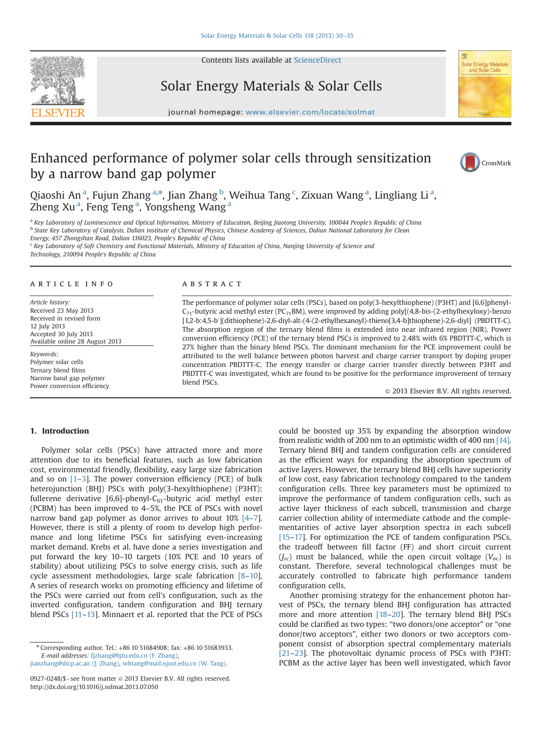

# Solar Energy Materials & Solar Cells

journal homepage: <www.elsevier.com/locate/solmat>ics/solution/locate/solution/locate/solution/locate/solution/



# Enhanced performance of polymer solar cells through sensitization by a narrow band gap polymer



Qiaoshi An $^{\rm a}$ , Fujun Zhang $^{\rm a, *}$ , Jian Zhang $^{\rm b}$ , Weihua Tang $^{\rm c}$ , Zixuan Wang $^{\rm a}$ , Lingliang Li $^{\rm a}$ , Zheng Xu<sup>a</sup>, Feng Teng<sup>a</sup>, Yongsheng Wang<sup>a</sup>

a Key Laboratory of Luminescence and Optical Information, Ministry of Education, Beijing Jiaotong University, 100044 People's Republic of China **b State Key Laboratory of Catalysis, Dalian institute of Chemical Physics, Chinese Academy of Sciences, Dalian National Laboratory for Clean** Energy, 457 Zhongshan Road, Dalian 116023, People's Republic of China <sup>c</sup> Key Laboratory of Soft Chemistry and Functional Materials, Ministry of Education of China, Nanjing University of Science and

Technology, 210094 People's Republic of China

#### article info

Article history: Received 23 May 2013 Received in revised form 12 July 2013 Accepted 30 July 2013 Available online 28 August 2013

Keywords: Polymer solar cells Ternary blend films Narrow band gap polymer Power conversion efficiency

### **ABSTRACT**

The performance of polymer solar cells (PSCs), based on poly(3-hexylthiophene) (P3HT) and [6,6]phenyl- $C_{71}$ -butyric acid methyl ester (PC<sub>71</sub>BM), were improved by adding poly[(4,8-bis-(2-ethylhexyloxy)-benzo [1,2-b:4,5-b′](dithiophene)-2,6-diyl-alt-(4-(2-ethylhexanoyl)-thieno[3,4-b]thiophene)-2,6-diyl] (PBDTTT-C). The absorption region of the ternary blend films is extended into near infrared region (NIR). Power conversion efficiency (PCE) of the ternary blend PSCs is improved to 2.48% with 6% PBDTTT-C, which is 27% higher than the binary blend PSCs. The dominant mechanism for the PCE improvement could be attributed to the well balance between photon harvest and charge carrier transport by doping proper concentration PBDTTT-C. The energy transfer or charge carrier transfer directly between P3HT and PBDTTT-C was investigated, which are found to be positive for the performance improvement of ternary blend PSCs.

 $©$  2013 Elsevier B.V. All rights reserved.

# 1. Introduction

Polymer solar cells (PSCs) have attracted more and more attention due to its beneficial features, such as low fabrication cost, environmental friendly, flexibility, easy large size fabrication and so on  $[1-3]$ . The power conversion efficiency (PCE) of bulk heterojunction (BHJ) PSCs with poly(3-hexylthiophene) (P3HT): fullerene derivative  $[6,6]$ -phenyl-C<sub>61</sub>-butyric acid methyl ester (PCBM) has been improved to 4–5%, the PCE of PSCs with novel narrow band gap polymer as donor arrives to about 10% [4–7]. However, there is still a plenty of room to develop high performance and long lifetime PSCs for satisfying even-increasing market demand. Krebs et al. have done a series investigation and put forward the key 10–10 targets (10% PCE and 10 years of stability) about utilizing PSCs to solve energy crisis, such as life cycle assessment methodologies, large scale fabrication [8–10]. A series of research works on promoting efficiency and lifetime of the PSCs were carried out from cell's configuration, such as the inverted configuration, tandem configuration and BHJ ternary blend PSCs [11-13]. Minnaert et al. reported that the PCE of PSCs

<sup>n</sup> Corresponding author. Tel.: +86 10 51684908; fax: +86 10 51683933. E-mail addresses: [fjzhang@bjtu.edu.cn \(F. Zhang\)](mailto:fjzhang@bjtu.edu.cn), [jianzhang@dicp.ac.an \(J. Zhang\),](mailto:jianzhang@dicp.ac.an) [whtang@mail.njust.edu.cn \(W. Tang\)](mailto:whtang@mail.njust.edu.cn).

0927-0248/\$ - see front matter @ 2013 Elsevier B.V. All rights reserved. <http://dx.doi.org/10.1016/j.solmat.2013.07.050>

could be boosted up 35% by expanding the absorption window from realistic width of 200 nm to an optimistic width of 400 nm [14]. Ternary blend BHJ and tandem configuration cells are considered as the efficient ways for expanding the absorption spectrum of active layers. However, the ternary blend BHJ cells have superiority of low cost, easy fabrication technology compared to the tandem configuration cells. Three key parameters must be optimized to improve the performance of tandem configuration cells, such as active layer thickness of each subcell, transmission and charge carrier collection ability of intermediate cathode and the complementarities of active layer absorption spectra in each subcell [15–17]. For optimization the PCE of tandem configuration PSCs, the tradeoff between fill factor (FF) and short circuit current  $(J_{sc})$  must be balanced, while the open circuit voltage  $(V_{oc})$  is constant. Therefore, several technological challenges must be accurately controlled to fabricate high performance tandem configuration cells.

Another promising strategy for the enhancement photon harvest of PSCs, the ternary blend BHJ configuration has attracted more and more attention [18–20]. The ternary blend BHJ PSCs could be clarified as two types: "two donors/one acceptor" or "one donor/two acceptors", either two donors or two acceptors component consist of absorption spectral complementary materials [21–23]. The photovoltaic dynamic process of PSCs with P3HT: PCBM as the active layer has been well investigated, which favor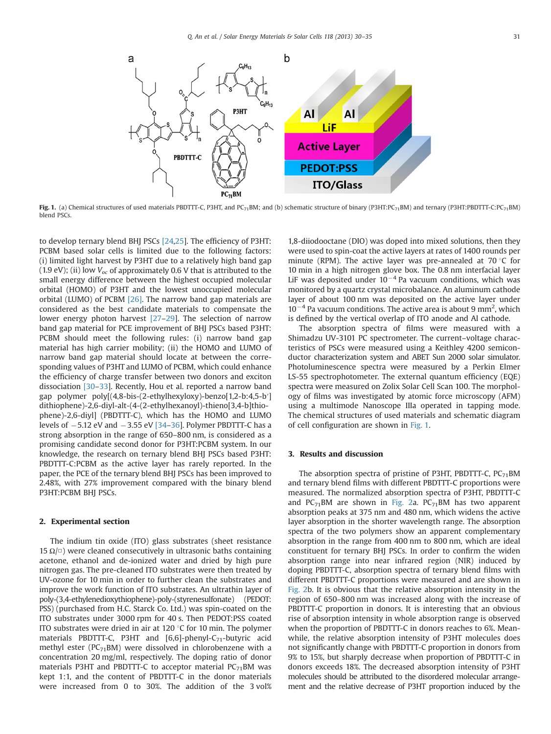

Fig. 1. (a) Chemical structures of used materials PBDTTT-C, P3HT, and PC<sub>71</sub>BM; and (b) schematic structure of binary (P3HT:PC<sub>71</sub>BM) and ternary (P3HT:PBDTTT-C:PC<sub>71</sub>BM) blend PSCs.

to develop ternary blend BHJ PSCs [24,25]. The efficiency of P3HT: PCBM based solar cells is limited due to the following factors: (i) limited light harvest by P3HT due to a relatively high band gap (1.9 eV); (ii) low  $V_{oc}$  of approximately 0.6 V that is attributed to the small energy difference between the highest occupied molecular orbital (HOMO) of P3HT and the lowest unoccupied molecular orbital (LUMO) of PCBM [26]. The narrow band gap materials are considered as the best candidate materials to compensate the lower energy photon harvest [27–29]. The selection of narrow band gap material for PCE improvement of BHJ PSCs based P3HT: PCBM should meet the following rules: (i) narrow band gap material has high carrier mobility; (ii) the HOMO and LUMO of narrow band gap material should locate at between the corresponding values of P3HT and LUMO of PCBM, which could enhance the efficiency of charge transfer between two donors and exciton dissociation [30–33]. Recently, Hou et al. reported a narrow band gap polymer poly[(4,8-bis-(2-ethylhexyloxy)-benzo[1,2-b:4,5-b′] dithiophene)-2,6-diyl-alt-(4-(2-ethylhexanoyl)-thieno[3,4-b]thiophene)-2,6-diyl] (PBDTTT-C), which has the HOMO and LUMO levels of  $-5.12$  eV and  $-3.55$  eV  $[34-36]$ . Polymer PBDTTT-C has a strong absorption in the range of 650–800 nm, is considered as a promising candidate second donor for P3HT:PCBM system. In our knowledge, the research on ternary blend BHJ PSCs based P3HT: PBDTTT-C:PCBM as the active layer has rarely reported. In the paper, the PCE of the ternary blend BHJ PSCs has been improved to 2.48%, with 27% improvement compared with the binary blend P3HT:PCBM BHJ PSCs.

## 2. Experimental section

The indium tin oxide (ITO) glass substrates (sheet resistance 15  $\Omega/\square$ ) were cleaned consecutively in ultrasonic baths containing acetone, ethanol and de-ionized water and dried by high pure nitrogen gas. The pre-cleaned ITO substrates were then treated by UV-ozone for 10 min in order to further clean the substrates and improve the work function of ITO substrates. An ultrathin layer of poly-(3,4-ethylenedioxythiophene)-poly-(styrenesulfonate) (PEDOT: PSS) (purchased from H.C. Starck Co. Ltd.) was spin-coated on the ITO substrates under 3000 rpm for 40 s. Then PEDOT:PSS coated ITO substrates were dried in air at 120 $\degree$ C for 10 min. The polymer materials PBDTTT-C, P3HT and  $[6,6]$ -phenyl-C<sub>71</sub>-butyric acid methyl ester ( $PC_{71}$ BM) were dissolved in chlorobenzene with a concentration 20 mg/ml, respectively. The doping ratio of donor materials P3HT and PBDTTT-C to acceptor material  $PC_{71}$ BM was kept 1:1, and the content of PBDTTT-C in the donor materials were increased from 0 to 30%. The addition of the 3 vol%

1,8-diiodooctane (DIO) was doped into mixed solutions, then they were used to spin-coat the active layers at rates of 1400 rounds per minute (RPM). The active layer was pre-annealed at  $70^{\circ}$ C for 10 min in a high nitrogen glove box. The 0.8 nm interfacial layer LiF was deposited under  $10^{-4}$  Pa vacuum conditions, which was monitored by a quartz crystal microbalance. An aluminum cathode layer of about 100 nm was deposited on the active layer under  $10^{-4}$  Pa vacuum conditions. The active area is about 9 mm<sup>2</sup>, which is defined by the vertical overlap of ITO anode and Al cathode.

The absorption spectra of films were measured with a Shimadzu UV-3101 PC spectrometer. The current–voltage characteristics of PSCs were measured using a Keithley 4200 semiconductor characterization system and ABET Sun 2000 solar simulator. Photoluminescence spectra were measured by a Perkin Elmer LS-55 spectrophotometer. The external quantum efficiency (EQE) spectra were measured on Zolix Solar Cell Scan 100. The morphology of films was investigated by atomic force microscopy (AFM) using a multimode Nanoscope IIIa operated in tapping mode. The chemical structures of used materials and schematic diagram of cell configuration are shown in Fig. 1.

## 3. Results and discussion

The absorption spectra of pristine of P3HT, PBDTTT-C,  $PC_{71}$ BM and ternary blend films with different PBDTTT-C proportions were measured. The normalized absorption spectra of P3HT, PBDTTT-C and PC<sub>71</sub>BM are shown in Fig. 2a. PC<sub>71</sub>BM has two apparent absorption peaks at 375 nm and 480 nm, which widens the active layer absorption in the shorter wavelength range. The absorption spectra of the two polymers show an apparent complementary absorption in the range from 400 nm to 800 nm, which are ideal constituent for ternary BHJ PSCs. In order to confirm the widen absorption range into near infrared region (NIR) induced by doping PBDTTT-C, absorption spectra of ternary blend films with different PBDTTT-C proportions were measured and are shown in Fig. 2b. It is obvious that the relative absorption intensity in the region of 650–800 nm was increased along with the increase of PBDTTT-C proportion in donors. It is interesting that an obvious rise of absorption intensity in whole absorption range is observed when the proportion of PBDTTT-C in donors reaches to 6%. Meanwhile, the relative absorption intensity of P3HT molecules does not significantly change with PBDTTT-C proportion in donors from 9% to 15%, but sharply decrease when proportion of PBDTTT-C in donors exceeds 18%. The decreased absorption intensity of P3HT molecules should be attributed to the disordered molecular arrangement and the relative decrease of P3HT proportion induced by the